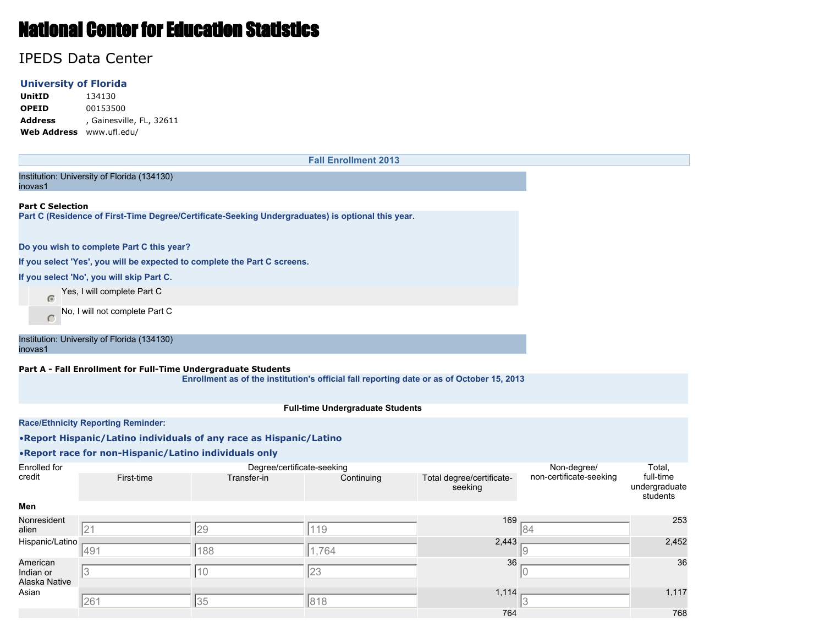# National Center for Education Statistics

# IPEDS Data Center

### **University of Florida**

**UnitID** 134130 **OPEID** 00153500 **Address** , Gainesville, FL, 32611 **Web Address** www.ufl.edu/

**Fall Enrollment 2013** Institution: University of Florida (134130) inovas1 **Part C Selection Part C (Residence of First-Time Degree/Certificate-Seeking Undergraduates) is optional this year. Do you wish to complete Part C this year? If you select 'Yes', you will be expected to complete the Part C screens. If you select 'No', you will skip Part C.** Yes, I will complete Part C No, I will not complete Part C  $\subset$ Institution: University of Florida (134130) inovas1 **Part A - Fall Enrollment for Full-Time Undergraduate Students Enrollment as of the institution's official fall reporting date or as of October 15, 2013 Full-time Undergraduate Students Race/Ethnicity Reporting Reminder:** •**Report Hispanic/Latino individuals of any race as Hispanic/Latino** •**Report race for non-Hispanic/Latino individuals only** Enrolled for Degree/certificate-seeking Non-degree/ Total, credit First-time Transfer-in Continuing Total degree/certificatenon-certificate-seeking full-time undergraduate seeking students **Men** Nonresident 169 253 alien 21 20 29 119 20 21 22 21 22 21 22 21 22 21 22 21 22 21 22 21 22 21 22 21 22 21 22 21 22 21 22 21 22 21 22 21 2 Hispanic/Latino 2,443 2,452 491 188 1,764 9 American 36 Indian or 3  $\vert$  10  $\vert$  23  $\vert$  20  $\vert$  20  $\vert$  10  $\vert$  21  $\vert$  21  $\vert$  21  $\vert$  21  $\vert$  21  $\vert$  21  $\vert$  21  $\vert$  21  $\vert$  21  $\vert$  21  $\vert$  21  $\vert$  21  $\vert$  21  $\vert$  21  $\vert$  21  $\vert$  21  $\vert$  21  $\vert$  21  $\vert$  21  $\vert$  21  $\vert$  21  $\vert$  21  $\vert$ Alaska Native Asian 1,117 - 1,117 1,117 - 1,117 1,117 1,117 1,117 1,117 1,117 1,117 1,117 1,117 1,117 1,117 1,117 1,117 1,11 261 35 818 3764 768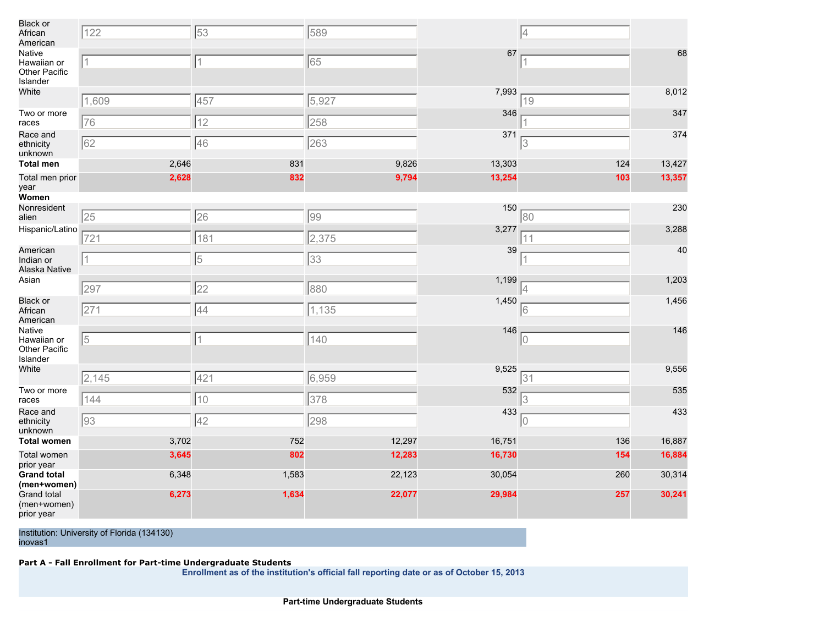| <b>Black or</b><br>African<br>American             | 122            | 53          | 589    |        | 4   |        |
|----------------------------------------------------|----------------|-------------|--------|--------|-----|--------|
| Native<br>Hawaiian or<br>Other Pacific<br>Islander | $\overline{1}$ | 1           | 65     | 67     | 1   | 68     |
| White                                              | 1,609          | 457         | 5,927  | 7,993  | 19  | 8,012  |
| Two or more<br>races                               | 76             | 12          | 258    | 346    |     | 347    |
| Race and<br>ethnicity<br>unknown                   | 62             | 46          | 263    | 371    | 3   | 374    |
| Total men                                          | 2,646          | 831         | 9,826  | 13,303 | 124 | 13,427 |
| Total men prior<br>year                            | 2,628          | 832         | 9,794  | 13,254 | 103 | 13,357 |
| Women                                              |                |             |        |        |     |        |
| Nonresident<br>alien                               | 25             | 26          | 99     | 150    | 80  | 230    |
| Hispanic/Latino                                    | 721            | 181         | 2,375  | 3,277  | 11  | 3,288  |
| American<br>Indian or<br>Alaska Native             | 11             | 5           | 33     | 39     | 1   | 40     |
| Asian                                              | 297            | 22          | 880    | 1,199  | 4   | 1,203  |
| <b>Black or</b><br>African<br>American             | 271            | 44          | 1,135  | 1,450  | 16  | 1,456  |
| Native<br>Hawaiian or<br>Other Pacific<br>Islander | 5              | 1           | 140    | 146    | 10  | 146    |
| White                                              | 2,145          | 421         | 6,959  | 9,525  | 31  | 9,556  |
| Two or more<br>races                               | 144            | 10          | 378    | 532    |     | 535    |
| Race and<br>ethnicity<br>unknown                   | 93             | $\sqrt{42}$ | 298    | 433    | 10  | 433    |
| <b>Total women</b>                                 | 3,702          | 752         | 12,297 | 16,751 | 136 | 16,887 |
| Total women<br>prior year                          | 3,645          | 802         | 12,283 | 16,730 | 154 | 16,884 |
| <b>Grand total</b><br>(men+women)                  | 6,348          | 1,583       | 22,123 | 30,054 | 260 | 30,314 |
| <b>Grand total</b><br>(men+women)<br>prior year    | 6,273          | 1,634       | 22,077 | 29,984 | 257 | 30,241 |

#### **Part A - Fall Enrollment for Part-time Undergraduate Students**

**Enrollment as of the institution's official fall reporting date or as of October 15, 2013**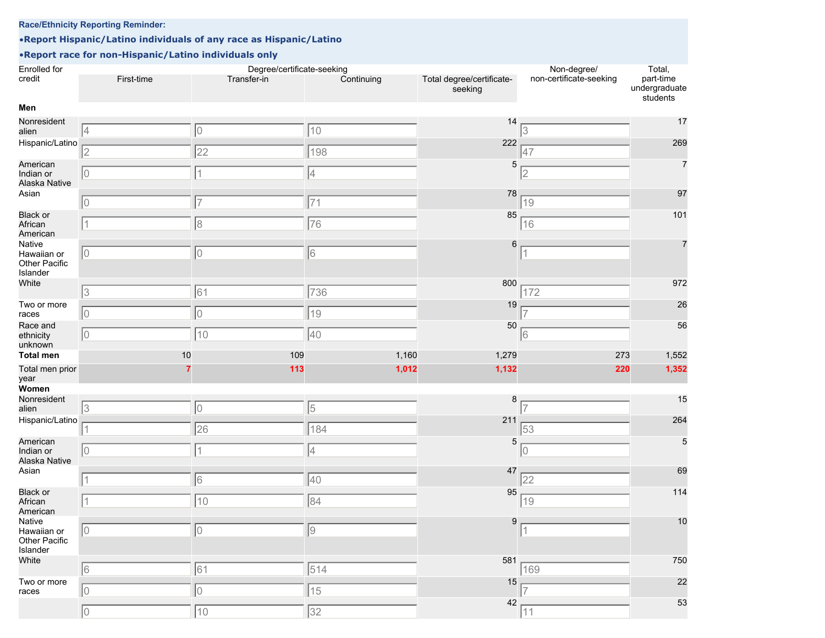## **Race/Ethnicity Reporting Reminder:**

# •**Report Hispanic/Latino individuals of any race as Hispanic/Latino**

# •**Report race for non-Hispanic/Latino individuals only**

| Enrolled for<br>credit                             | First-time | Degree/certificate-seeking<br>Transfer-in | Continuing | Total degree/certificate-<br>seeking | Non-degree/<br>non-certificate-seeking | Total,<br>part-time<br>undergraduate |
|----------------------------------------------------|------------|-------------------------------------------|------------|--------------------------------------|----------------------------------------|--------------------------------------|
| Men                                                |            |                                           |            |                                      |                                        | students                             |
|                                                    |            |                                           |            |                                      |                                        |                                      |
| Nonresident<br>alien                               | 4          | 10                                        | 10         | 14                                   | 3                                      | 17                                   |
| Hispanic/Latino                                    | 2          | 22                                        | 198        | 222                                  | 47                                     | 269                                  |
| American<br>Indian or<br>Alaska Native             | 10         | 1                                         | 4          | 5                                    | $\overline{2}$                         | $\overline{7}$                       |
| Asian                                              | 10         | $\overline{7}$                            | 71         | 78                                   | 19                                     | 97                                   |
| <b>Black or</b><br>African<br>American             |            | 8                                         | 76         | 85                                   | 16                                     | 101                                  |
| Native<br>Hawaiian or<br>Other Pacific<br>Islander | 10         | 10                                        | 16         | 6                                    | $\overline{1}$                         | $\overline{7}$                       |
| White                                              | 3          | 61                                        | 736        | 800                                  | 172                                    | 972                                  |
| Two or more<br>races                               | 10         | 10                                        | 19         | 19                                   |                                        | 26                                   |
| Race and<br>ethnicity<br>unknown                   | 10         | 10                                        | 40         | 50                                   | 16                                     | 56                                   |
| <b>Total men</b>                                   | 10         | 109                                       | 1,160      | 1,279                                | 273                                    | 1,552                                |
| Total men prior<br>year                            |            | 113                                       | 1,012      | 1,132                                | 220                                    | 1,352                                |
| Women                                              |            |                                           |            |                                      |                                        |                                      |
| Nonresident                                        |            |                                           |            | 8                                    |                                        | 15                                   |
| alien                                              | 3          | 10                                        | 5          |                                      |                                        |                                      |
| Hispanic/Latino                                    |            | 26                                        | 184        | 211                                  | 53                                     | 264                                  |
| American<br>Indian or<br>Alaska Native             | 10         | $\overline{1}$                            | 4          | 5                                    | 10                                     | 5                                    |
| Asian                                              |            | 16                                        | 40         | 47                                   | 22                                     | 69                                   |
| <b>Black or</b><br>African<br>American             |            | 10                                        | 84         | 95                                   | 19                                     | 114                                  |
| Native<br>Hawaiian or<br>Other Pacific<br>Islander | 0          | 0                                         | $\sqrt{9}$ | 9                                    | $\sqrt{1}$                             | 10                                   |
| White                                              | 6          | 61                                        | 514        | 581                                  | 169                                    | 750                                  |
| Two or more<br>races                               | 10         | 0                                         | 15         | 15                                   |                                        | 22                                   |
|                                                    | $\hbox{O}$ | $ 10\rangle$                              | 32         | 42                                   | 11                                     | 53                                   |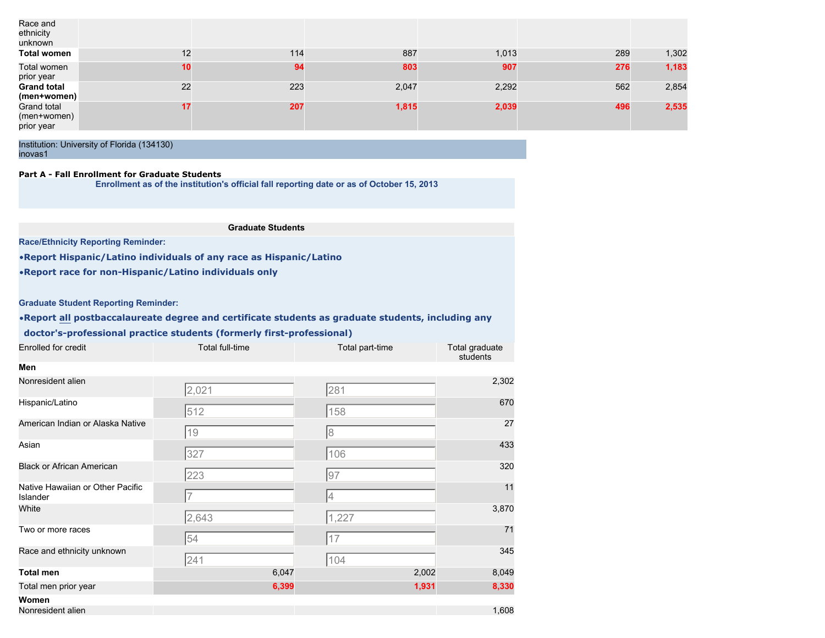| Race and<br>ethnicity<br>unknown         |    |     |       |       |     |       |
|------------------------------------------|----|-----|-------|-------|-----|-------|
| Total women                              | 12 | 114 | 887   | 1,013 | 289 | 1,302 |
| Total women<br>prior year                | 10 | 94  | 803   | 907   | 276 | 1,183 |
| <b>Grand total</b><br>(men+women)        | 22 | 223 | 2,047 | 2,292 | 562 | 2,854 |
| Grand total<br>(men+women)<br>prior year | 17 | 207 | 1,815 | 2,039 | 496 | 2,535 |

## **Part A - Fall Enrollment for Graduate Students**

**Enrollment as of the institution's official fall reporting date or as of October 15, 2013**

#### **Graduate Students**

**Race/Ethnicity Reporting Reminder:**

•**Report Hispanic/Latino individuals of any race as Hispanic/Latino**

•**Report race for non-Hispanic/Latino individuals only**

## **Graduate Student Reporting Reminder:**

# •**Report all postbaccalaureate degree and certificate students as graduate students, including any**

# **doctor's-professional practice students (formerly first-professional)**

| Enrolled for credit | Total full-time | Total part-time | Total graduate<br>students |
|---------------------|-----------------|-----------------|----------------------------|
| Men                 |                 |                 |                            |

| Nonresident alien                            | 2,021 | 281   | 2,302 |
|----------------------------------------------|-------|-------|-------|
| Hispanic/Latino                              | 512   | 158   | 670   |
| American Indian or Alaska Native             | 19    | 8     | 27    |
| Asian                                        | 327   | 106   | 433   |
| <b>Black or African American</b>             | 223   | 97    | 320   |
| Native Hawaiian or Other Pacific<br>Islander |       | 4     | 11    |
| White                                        | 2,643 | 1,227 | 3,870 |
| Two or more races                            | 54    | 17    | 71    |
| Race and ethnicity unknown                   | 241   | 104   | 345   |
| <b>Total men</b>                             | 6,047 | 2,002 | 8,049 |
| Total men prior year                         | 6,399 | 1,931 | 8,330 |
| Women                                        |       |       |       |
| Nonresident alien                            |       |       | 1,608 |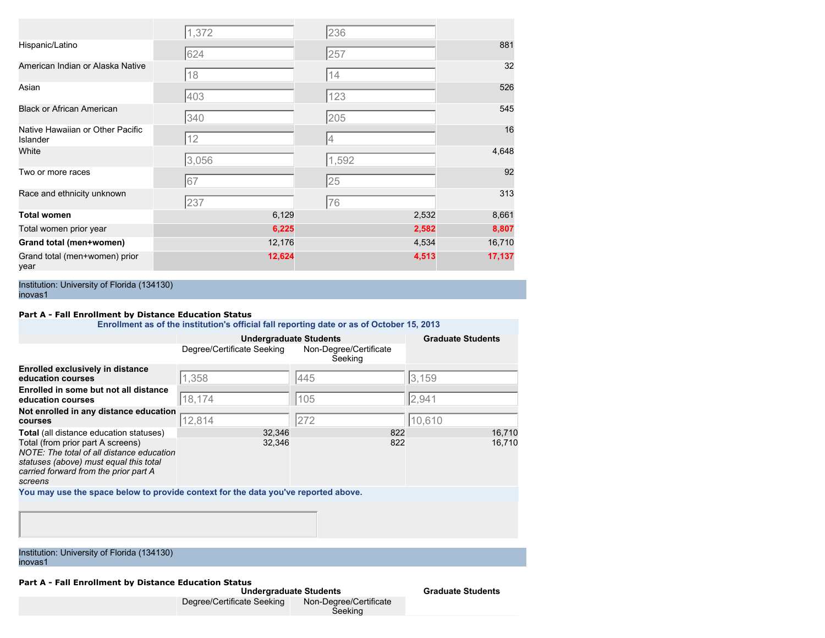|                                              | 1,372  | 236   |        |
|----------------------------------------------|--------|-------|--------|
| Hispanic/Latino                              | 624    | 257   | 881    |
| American Indian or Alaska Native             | 18     | 14    | 32     |
| Asian                                        | 403    | 123   | 526    |
| <b>Black or African American</b>             | 340    | 205   | 545    |
| Native Hawaiian or Other Pacific<br>Islander | 12     | 4     | 16     |
| White                                        | 3,056  | 1,592 | 4,648  |
| Two or more races                            | 67     | 25    | 92     |
| Race and ethnicity unknown                   | 237    | 76    | 313    |
| <b>Total women</b>                           | 6,129  | 2,532 | 8,661  |
| Total women prior year                       | 6,225  | 2,582 | 8,807  |
| Grand total (men+women)                      | 12,176 | 4,534 | 16,710 |
| Grand total (men+women) prior<br>year        | 12,624 | 4,513 | 17,137 |

#### **Part A - Fall Enrollment by Distance Education Status**

**Enrollment as of the institution's official fall reporting date or as of October 15, 2013**

|                                                                                                                                                                              | <b>Undergraduate Students</b> | <b>Graduate Students</b>          |        |
|------------------------------------------------------------------------------------------------------------------------------------------------------------------------------|-------------------------------|-----------------------------------|--------|
|                                                                                                                                                                              | Degree/Certificate Seeking    | Non-Degree/Certificate<br>Seeking |        |
| <b>Enrolled exclusively in distance</b><br>education courses                                                                                                                 | 1,358                         | 445                               | 3.159  |
| Enrolled in some but not all distance<br>education courses                                                                                                                   | 18,174                        | 105                               | 2,941  |
| Not enrolled in any distance education<br>courses                                                                                                                            | 12,814                        | 272                               | 10,610 |
| <b>Total</b> (all distance education statuses)                                                                                                                               | 32,346                        | 822                               | 16,710 |
| Total (from prior part A screens)<br>NOTE: The total of all distance education<br>statuses (above) must equal this total<br>carried forward from the prior part A<br>screens | 32,346                        | 822                               | 16,710 |
| You may use the space below to provide context for the data you've reported above.                                                                                           |                               |                                   |        |
|                                                                                                                                                                              |                               |                                   |        |

Institution: University of Florida (134130) inovas1

**Part A - Fall Enrollment by Distance Education Status**

| <b>Undergraduate Students</b> |                                   |  |  |  |
|-------------------------------|-----------------------------------|--|--|--|
| Degree/Certificate Seeking    | Non-Degree/Certificate<br>Seeking |  |  |  |

**Graduate Students**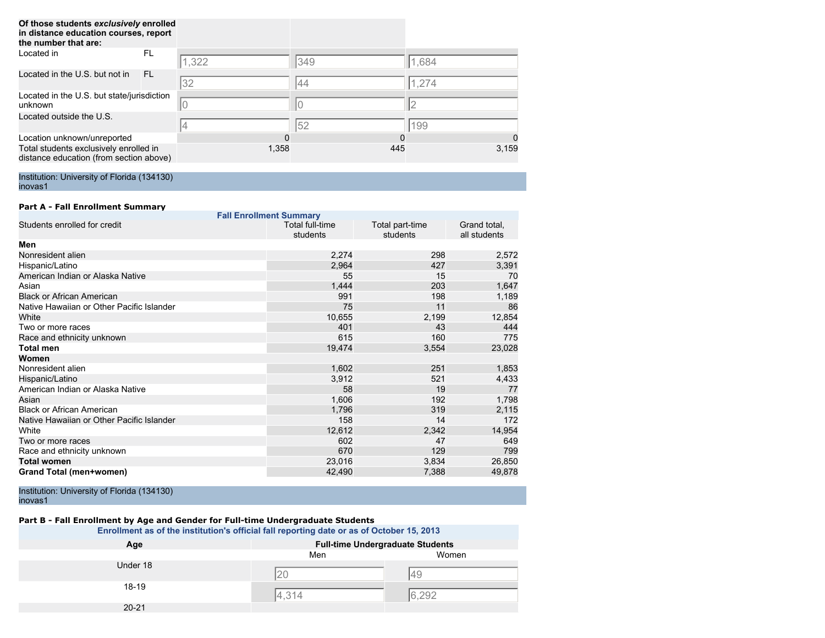| Of those students exclusively enrolled<br>in distance education courses, report<br>the number that are: |     |       |     |       |
|---------------------------------------------------------------------------------------------------------|-----|-------|-----|-------|
| Located in                                                                                              | FL. | 1,322 | 349 | 1,684 |
| Located in the U.S. but not in                                                                          | FL. | 32    | 44  | 1,274 |
| Located in the U.S. but state/jurisdiction<br>unknown                                                   |     | 10    | 0   |       |
| Located outside the U.S.                                                                                |     |       | 52  | 199   |
| Location unknown/unreported                                                                             |     | 0     | 0   | 0     |
| Total students exclusively enrolled in<br>distance education (from section above)                       |     | 1,358 | 445 | 3,159 |

#### **Part A - Fall Enrollment Summary**

| <b>Fall Enrollment Summary</b>            |                                    |                             |                              |  |  |  |
|-------------------------------------------|------------------------------------|-----------------------------|------------------------------|--|--|--|
| Students enrolled for credit              | <b>Total full-time</b><br>students | Total part-time<br>students | Grand total,<br>all students |  |  |  |
| Men                                       |                                    |                             |                              |  |  |  |
| Nonresident alien                         | 2,274                              | 298                         | 2,572                        |  |  |  |
| Hispanic/Latino                           | 2,964                              | 427                         | 3,391                        |  |  |  |
| American Indian or Alaska Native          | 55                                 | 15                          | 70                           |  |  |  |
| Asian                                     | 1,444                              | 203                         | 1,647                        |  |  |  |
| <b>Black or African American</b>          | 991                                | 198                         | 1,189                        |  |  |  |
| Native Hawaiian or Other Pacific Islander | 75                                 | 11                          | 86                           |  |  |  |
| White                                     | 10,655                             | 2,199                       | 12,854                       |  |  |  |
| Two or more races                         | 401                                | 43                          | 444                          |  |  |  |
| Race and ethnicity unknown                | 615                                | 160                         | 775                          |  |  |  |
| <b>Total men</b>                          | 19,474                             | 3,554                       | 23,028                       |  |  |  |
| Women                                     |                                    |                             |                              |  |  |  |
| Nonresident alien                         | 1,602                              | 251                         | 1,853                        |  |  |  |
| Hispanic/Latino                           | 3,912                              | 521                         | 4,433                        |  |  |  |
| American Indian or Alaska Native          | 58                                 | 19                          | 77                           |  |  |  |
| Asian                                     | 1,606                              | 192                         | 1,798                        |  |  |  |
| <b>Black or African American</b>          | 1,796                              | 319                         | 2,115                        |  |  |  |
| Native Hawaiian or Other Pacific Islander | 158                                | 14                          | 172                          |  |  |  |
| White                                     | 12,612                             | 2,342                       | 14,954                       |  |  |  |
| Two or more races                         | 602                                | 47                          | 649                          |  |  |  |
| Race and ethnicity unknown                | 670                                | 129                         | 799                          |  |  |  |
| <b>Total women</b>                        | 23,016                             | 3,834                       | 26,850                       |  |  |  |
| Grand Total (men+women)                   | 42,490                             | 7,388                       | 49,878                       |  |  |  |

Institution: University of Florida (134130) inovas1

## **Part B - Fall Enrollment by Age and Gender for Full-time Undergraduate Students**

**Enrollment as of the institution's official fall reporting date or as of October 15, 2013**

| Age       | <b>Full-time Undergraduate Students</b> |       |
|-----------|-----------------------------------------|-------|
|           | Men                                     | Women |
| Under 18  |                                         |       |
|           |                                         | 49    |
| 18-19     |                                         |       |
|           | 4.314                                   | 6,292 |
| $20 - 21$ |                                         |       |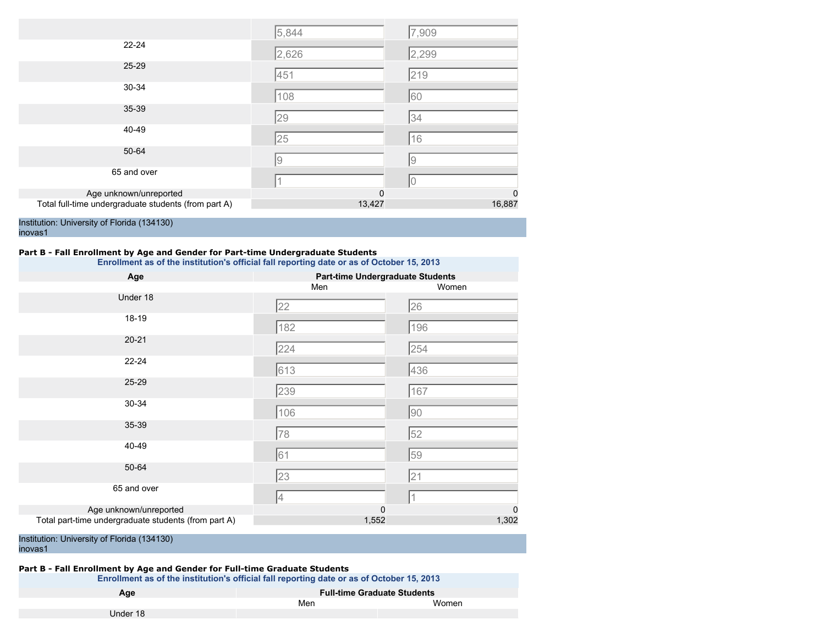|                                                      | 5,844  | 7,909    |
|------------------------------------------------------|--------|----------|
| $22 - 24$                                            | 2,626  | 2,299    |
| 25-29                                                | 451    | 219      |
| 30-34                                                | 108    | 60       |
| 35-39                                                | 29     | 34       |
| 40-49                                                | 25     | 16       |
| 50-64                                                | 9      | 19       |
| 65 and over                                          |        | IО       |
| Age unknown/unreported                               | 0      | $\Omega$ |
| Total full-time undergraduate students (from part A) | 13,427 | 16,887   |

# **Part B - Fall Enrollment by Age and Gender for Part-time Undergraduate Students**

**Enrollment as of the institution's official fall reporting date or as of October 15, 2013**

| Age                                                  | <b>Part-time Undergraduate Students</b> |             |  |  |
|------------------------------------------------------|-----------------------------------------|-------------|--|--|
|                                                      | Men                                     | Women       |  |  |
| Under 18                                             | 22                                      | 26          |  |  |
| 18-19                                                | 182                                     | 196         |  |  |
| $20 - 21$                                            | 224                                     | 254         |  |  |
| $22 - 24$                                            | 613                                     | 436         |  |  |
| 25-29                                                | 239                                     | 167         |  |  |
| 30-34                                                | 106                                     | 90          |  |  |
| 35-39                                                | 78                                      | 52          |  |  |
| 40-49                                                | 61                                      | 59          |  |  |
| 50-64                                                | 23                                      | 21          |  |  |
| 65 and over                                          | 4                                       |             |  |  |
| Age unknown/unreported                               | $\mathbf 0$                             | $\mathbf 0$ |  |  |
| Total part-time undergraduate students (from part A) | 1,552                                   | 1,302       |  |  |

Institution: University of Florida (134130) inovas1

# **Part B - Fall Enrollment by Age and Gender for Full-time Graduate Students**

| Enrollment as of the institution's official fall reporting date or as of October 15, 2013 |     |       |
|-------------------------------------------------------------------------------------------|-----|-------|
| <b>Full-time Graduate Students</b><br>Age                                                 |     |       |
|                                                                                           | Men | Women |
| Under 18                                                                                  |     |       |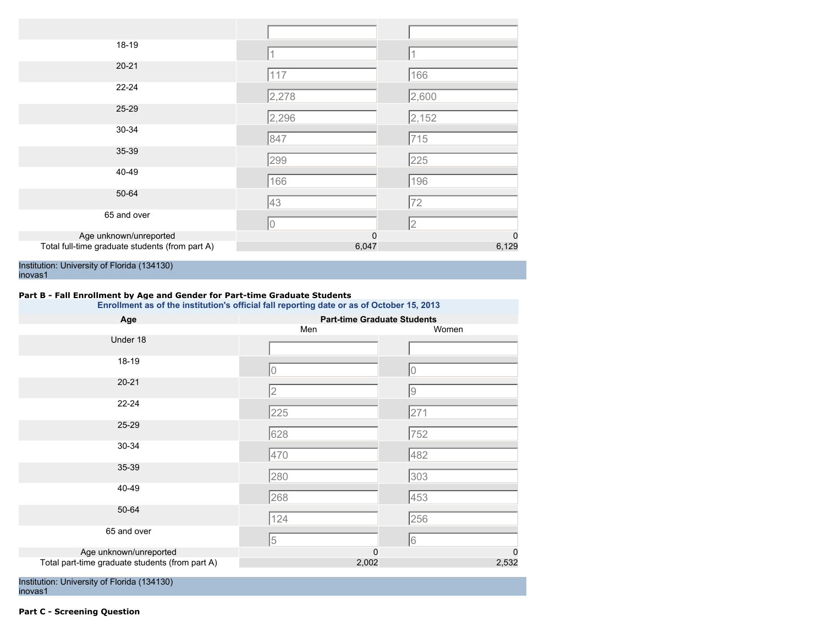| 18-19                                           |             |             |
|-------------------------------------------------|-------------|-------------|
| $20 - 21$                                       | 117         | 166         |
| $22 - 24$                                       | 2,278       | 2,600       |
| 25-29                                           | 2,296       | 2,152       |
| 30-34                                           | 847         | 715         |
| 35-39                                           | 299         | 225         |
| 40-49                                           | 166         | 196         |
| 50-64                                           | 43          | 72          |
| 65 and over                                     | 10          | 2           |
| Age unknown/unreported                          | $\mathbf 0$ | $\mathbf 0$ |
| Total full-time graduate students (from part A) | 6,047       | 6,129       |

## **Part B - Fall Enrollment by Age and Gender for Part-time Graduate Students**

**Enrollment as of the institution's official fall reporting date or as of October 15, 2013**

| Age                                             | <b>Part-time Graduate Students</b> |                 |  |
|-------------------------------------------------|------------------------------------|-----------------|--|
|                                                 | Men                                | Women           |  |
| Under 18                                        |                                    |                 |  |
| 18-19                                           | 0                                  | 0               |  |
| $20 - 21$                                       | 2                                  | 9               |  |
| $22 - 24$                                       | 225                                | 271             |  |
| 25-29                                           | 628                                | 752             |  |
| 30-34                                           | 470                                | 482             |  |
| 35-39                                           | 280                                | 303             |  |
| 40-49                                           | 268                                | 453             |  |
| 50-64                                           | 124                                | 256             |  |
| 65 and over                                     | 5                                  | $6\phantom{.}6$ |  |
| Age unknown/unreported                          | 0                                  | $\mathbf 0$     |  |
| Total part-time graduate students (from part A) | 2,002                              | 2,532           |  |

Institution: University of Florida (134130) inovas1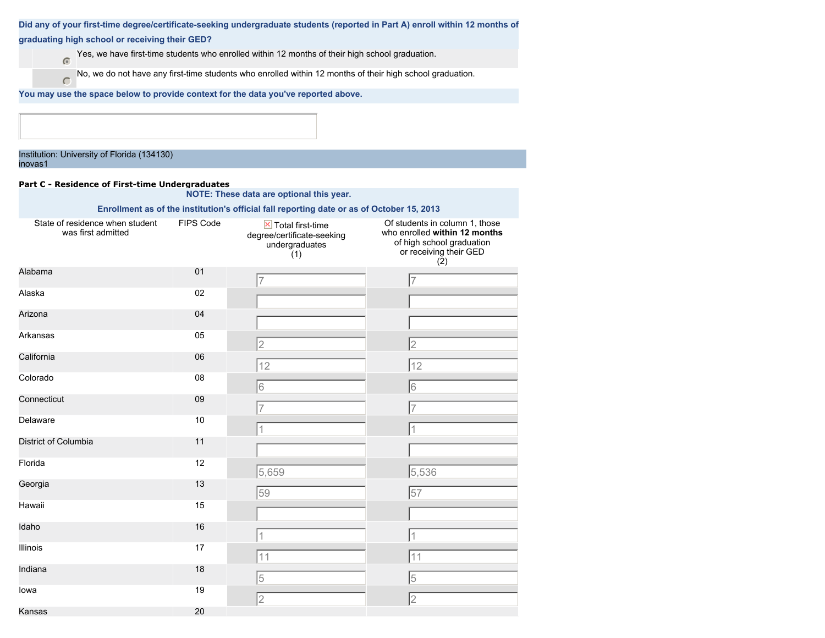|                                                                                    |                  |                                                                                                           | Did any of your first-time degree/certificate-seeking undergraduate students (reported in Part A) enroll within 12 months of |
|------------------------------------------------------------------------------------|------------------|-----------------------------------------------------------------------------------------------------------|------------------------------------------------------------------------------------------------------------------------------|
| graduating high school or receiving their GED?                                     |                  |                                                                                                           |                                                                                                                              |
| $\sqrt{2}$                                                                         |                  | Yes, we have first-time students who enrolled within 12 months of their high school graduation.           |                                                                                                                              |
| $\subset$                                                                          |                  | No, we do not have any first-time students who enrolled within 12 months of their high school graduation. |                                                                                                                              |
| You may use the space below to provide context for the data you've reported above. |                  |                                                                                                           |                                                                                                                              |
|                                                                                    |                  |                                                                                                           |                                                                                                                              |
|                                                                                    |                  |                                                                                                           |                                                                                                                              |
| Institution: University of Florida (134130)<br>inovas1                             |                  |                                                                                                           |                                                                                                                              |
| Part C - Residence of First-time Undergraduates                                    |                  |                                                                                                           |                                                                                                                              |
|                                                                                    |                  | NOTE: These data are optional this year.                                                                  |                                                                                                                              |
| State of residence when student                                                    | <b>FIPS Code</b> | Enrollment as of the institution's official fall reporting date or as of October 15, 2013                 | Of students in column 1, those                                                                                               |
| was first admitted                                                                 |                  | $\mathbb{X}$ Total first-time<br>degree/certificate-seeking<br>undergraduates<br>(1)                      | who enrolled within 12 months<br>of high school graduation<br>or receiving their GED<br>(2)                                  |
| Alabama                                                                            | 01               |                                                                                                           | 7                                                                                                                            |
| Alaska                                                                             | 02               |                                                                                                           |                                                                                                                              |
| Arizona                                                                            | 04               |                                                                                                           |                                                                                                                              |
| Arkansas                                                                           | 05               | $\overline{2}$                                                                                            | 2                                                                                                                            |
| California                                                                         | 06               | 12                                                                                                        | 12                                                                                                                           |
| Colorado                                                                           | 08               | 6                                                                                                         | 16                                                                                                                           |
| Connecticut                                                                        | 09               |                                                                                                           | 7                                                                                                                            |
| Delaware                                                                           | 10               |                                                                                                           | 1                                                                                                                            |
| District of Columbia                                                               | 11               |                                                                                                           |                                                                                                                              |
| Florida                                                                            | 12               | 5,659                                                                                                     | 5,536                                                                                                                        |
| Georgia                                                                            | 13               | 59                                                                                                        | 57                                                                                                                           |
| Hawaii                                                                             | 15               |                                                                                                           |                                                                                                                              |
| Idaho                                                                              | 16               |                                                                                                           |                                                                                                                              |

1 1 11 11 11

5 5

2 2

Illinois 17

Indiana 18

Iowa 19

Kansas 20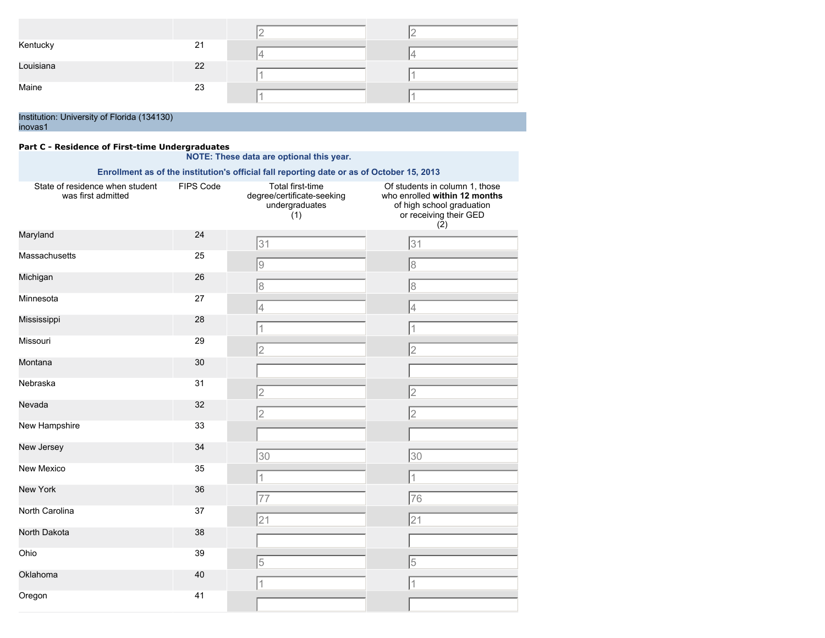|           |    | - |  |
|-----------|----|---|--|
| Kentucky  | 21 | ⊷ |  |
| Louisiana | 22 |   |  |
| Maine     | 23 |   |  |

## **Part C - Residence of First-time Undergraduates**

## **NOTE: These data are optional this year.**

**Enrollment as of the institution's official fall reporting date or as of October 15, 2013**

| State of residence when student<br>was first admitted | <b>FIPS Code</b> | Total first-time<br>degree/certificate-seeking<br>undergraduates<br>(1) | Of students in column 1, those<br>who enrolled within 12 months<br>of high school graduation<br>or receiving their GED<br>(2) |
|-------------------------------------------------------|------------------|-------------------------------------------------------------------------|-------------------------------------------------------------------------------------------------------------------------------|
| Maryland                                              | 24               | 31                                                                      | 31                                                                                                                            |
| Massachusetts                                         | 25               | 9                                                                       | $\overline{8}$                                                                                                                |
| Michigan                                              | 26               | 8                                                                       | $\overline{8}$                                                                                                                |
| Minnesota                                             | 27               | 4                                                                       | 4                                                                                                                             |
| Mississippi                                           | 28               | 1                                                                       |                                                                                                                               |
| Missouri                                              | 29               | 2                                                                       | $\overline{2}$                                                                                                                |
| Montana                                               | 30               |                                                                         |                                                                                                                               |
| Nebraska                                              | 31               | $\overline{2}$                                                          | $\overline{2}$                                                                                                                |
| Nevada                                                | 32               | $\overline{2}$                                                          | $\overline{2}$                                                                                                                |
| New Hampshire                                         | 33               |                                                                         |                                                                                                                               |
| New Jersey                                            | 34               | 30                                                                      | 30                                                                                                                            |
| New Mexico                                            | 35               | 1                                                                       |                                                                                                                               |
| <b>New York</b>                                       | 36               | 77                                                                      | 76                                                                                                                            |
| North Carolina                                        | 37               | 21                                                                      | 21                                                                                                                            |
| North Dakota                                          | 38               |                                                                         |                                                                                                                               |
| Ohio                                                  | 39               | 5                                                                       | 5                                                                                                                             |
| Oklahoma                                              | 40               | 1                                                                       |                                                                                                                               |
| Oregon                                                | 41               |                                                                         |                                                                                                                               |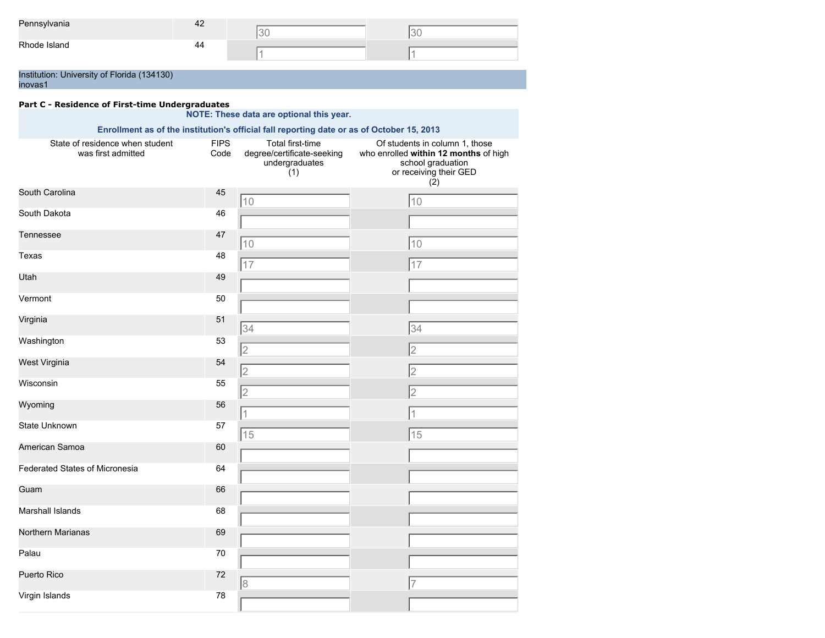| Pennsylvania                                | 42 |  |
|---------------------------------------------|----|--|
|                                             |    |  |
| Rhode Island                                | 44 |  |
|                                             |    |  |
|                                             |    |  |
| Institution: University of Florida (134130) |    |  |

inovas1

# **Part C - Residence of First-time Undergraduates**

### **NOTE: These data are optional this year. Enrollment as of the institution's official fall reporting date or as of October 15, 2013** State of residence when student was first admitted FIPS Code Total first-time degree/certificate-seeking undergraduates (1) Of students in column 1, those who enrolled **within 12 months** of high school graduation or receiving their GED  $(2)$ South Carolina 45 South Dakota 46 Tennessee 47 Texas 48 Utah 49 Vermont 50 Virginia 51 Washington 53 West Virginia 54 Wisconsin 55 Wyoming 56 State Unknown 57 American Samoa 60 Federated States of Micronesia 64 Guam 66 Marshall Islands 68 Northern Marianas 69 Palau 2008 - 2008 - 2014 12:30 12:30 12:31 12:32 12:33 12:34 12:35 12:36 Puerto Rico 72 Virgin Islands 78 10 10 10 10 17 17 34 34 2 2 2 2 2 2 1 1 15 15 8 7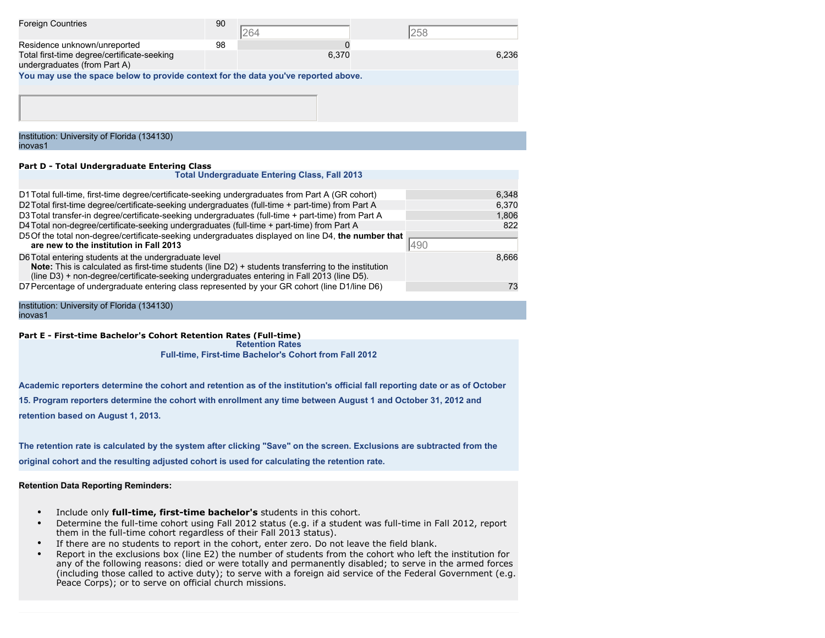| <b>Foreign Countries</b>                                                           | 90 | 264                                                  | 258   |
|------------------------------------------------------------------------------------|----|------------------------------------------------------|-------|
| Residence unknown/unreported                                                       | 98 |                                                      |       |
| Total first-time degree/certificate-seeking<br>undergraduates (from Part A)        |    | 6.370                                                | 6.236 |
| You may use the space below to provide context for the data you've reported above. |    |                                                      |       |
|                                                                                    |    |                                                      |       |
| Institution: University of Florida (134130)<br>inovas1                             |    |                                                      |       |
| Part D - Total Undergraduate Entering Class                                        |    |                                                      |       |
|                                                                                    |    | <b>Total Undergraduate Entering Class, Fall 2013</b> |       |

| D1 Total full-time, first-time degree/certificate-seeking undergraduates from Part A (GR cohort)<br>6,348<br>D2 Total first-time degree/certificate-seeking undergraduates (full-time + part-time) from Part A<br>6.370<br>D3 Total transfer-in degree/certificate-seeking undergraduates (full-time + part-time) from Part A<br>1,806<br>D4 Total non-degree/certificate-seeking undergraduates (full-time + part-time) from Part A<br>822<br>D5 Of the total non-degree/certificate-seeking undergraduates displayed on line D4, the number that<br>490<br>are new to the institution in Fall 2013<br>D6 Total entering students at the undergraduate level<br>8,666<br><b>Note:</b> This is calculated as first-time students (line D2) + students transferring to the institution<br>(line D3) + non-degree/certificate-seeking undergraduates entering in Fall 2013 (line D5).<br>D7 Percentage of undergraduate entering class represented by your GR cohort (line D1/line D6)<br>73 |  |
|--------------------------------------------------------------------------------------------------------------------------------------------------------------------------------------------------------------------------------------------------------------------------------------------------------------------------------------------------------------------------------------------------------------------------------------------------------------------------------------------------------------------------------------------------------------------------------------------------------------------------------------------------------------------------------------------------------------------------------------------------------------------------------------------------------------------------------------------------------------------------------------------------------------------------------------------------------------------------------------------|--|
|                                                                                                                                                                                                                                                                                                                                                                                                                                                                                                                                                                                                                                                                                                                                                                                                                                                                                                                                                                                            |  |
|                                                                                                                                                                                                                                                                                                                                                                                                                                                                                                                                                                                                                                                                                                                                                                                                                                                                                                                                                                                            |  |
|                                                                                                                                                                                                                                                                                                                                                                                                                                                                                                                                                                                                                                                                                                                                                                                                                                                                                                                                                                                            |  |
|                                                                                                                                                                                                                                                                                                                                                                                                                                                                                                                                                                                                                                                                                                                                                                                                                                                                                                                                                                                            |  |
|                                                                                                                                                                                                                                                                                                                                                                                                                                                                                                                                                                                                                                                                                                                                                                                                                                                                                                                                                                                            |  |
|                                                                                                                                                                                                                                                                                                                                                                                                                                                                                                                                                                                                                                                                                                                                                                                                                                                                                                                                                                                            |  |
|                                                                                                                                                                                                                                                                                                                                                                                                                                                                                                                                                                                                                                                                                                                                                                                                                                                                                                                                                                                            |  |

#### **Part E - First-time Bachelor's Cohort Retention Rates (Full-time)**

**Retention Rates Full-time, First-time Bachelor's Cohort from Fall 2012**

**Academic reporters determine the cohort and retention as of the institution's official fall reporting date or as of October 15. Program reporters determine the cohort with enrollment any time between August 1 and October 31, 2012 and**

**retention based on August 1, 2013.**

**The retention rate is calculated by the system after clicking "Save" on the screen. Exclusions are subtracted from the original cohort and the resulting adjusted cohort is used for calculating the retention rate.**

#### **Retention Data Reporting Reminders:**

- Include only **full-time, first-time bachelor's** students in this cohort.
- Determine the full-time cohort using Fall 2012 status (e.g. if a student was full-time in Fall 2012, report them in the full-time cohort regardless of their Fall 2013 status).
- If there are no students to report in the cohort, enter zero. Do not leave the field blank.<br>• Report in the exclusions box (line E2) the number of students from the cohort who left the
- Report in the exclusions box (line E2) the number of students from the cohort who left the institution for any of the following reasons: died or were totally and permanently disabled; to serve in the armed forces (including those called to active duty); to serve with a foreign aid service of the Federal Government (e.g. Peace Corps); or to serve on official church missions.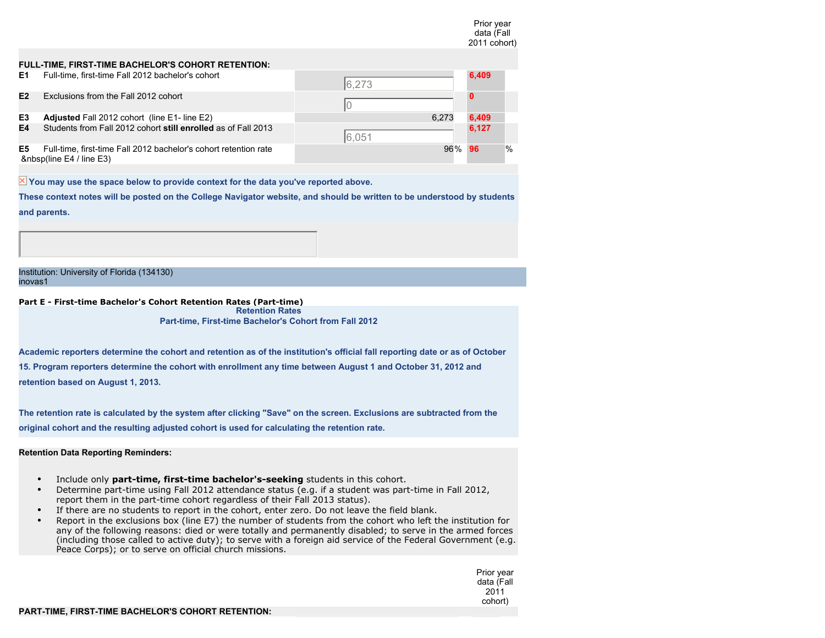|    |                                                                                         |            | data (Fall<br>2011 cohort) |   |
|----|-----------------------------------------------------------------------------------------|------------|----------------------------|---|
|    | FULL-TIME, FIRST-TIME BACHELOR'S COHORT RETENTION:                                      |            |                            |   |
| Е1 | Full-time, first-time Fall 2012 bachelor's cohort                                       | 6,273      | 6,409                      |   |
| E2 | Exclusions from the Fall 2012 cohort                                                    |            |                            |   |
| E3 | Adjusted Fall 2012 cohort (line E1- line E2)                                            | 6.273      | 6,409                      |   |
| E4 | Students from Fall 2012 cohort still enrolled as of Fall 2013                           | 6.051      | 6,127                      |   |
| E5 | Full-time, first-time Fall 2012 bachelor's cohort retention rate<br>(line E4 / line E3) | 96%<br>-96 |                            | % |

 $\overline{\mathbb{X}}$  You may use the space below to provide context for the data you've reported above.

**These context notes will be posted on the College Navigator website, and should be written to be understood by students and parents.**

Institution: University of Florida (134130) inovas1

**Part E - First-time Bachelor's Cohort Retention Rates (Part-time) Retention Rates**

**Part-time, First-time Bachelor's Cohort from Fall 2012**

**Academic reporters determine the cohort and retention as of the institution's official fall reporting date or as of October 15. Program reporters determine the cohort with enrollment any time between August 1 and October 31, 2012 and retention based on August 1, 2013.**

**The retention rate is calculated by the system after clicking "Save" on the screen. Exclusions are subtracted from the original cohort and the resulting adjusted cohort is used for calculating the retention rate.**

**Retention Data Reporting Reminders:**

- Include only **part-time, first-time bachelor's-seeking** students in this cohort.
- Determine part-time using Fall 2012 attendance status (e.g. if a student was part-time in Fall 2012, report them in the part-time cohort regardless of their Fall 2013 status).
- If there are no students to report in the cohort, enter zero. Do not leave the field blank.
- Report in the exclusions box (line E7) the number of students from the cohort who left the institution for any of the following reasons: died or were totally and permanently disabled; to serve in the armed forces (including those called to active duty); to serve with a foreign aid service of the Federal Government (e.g. Peace Corps); or to serve on official church missions.

Prior year data (Fall 2011 cohort)

Prior year

## **PART-TIME, FIRST-TIME BACHELOR'S COHORT RETENTION:**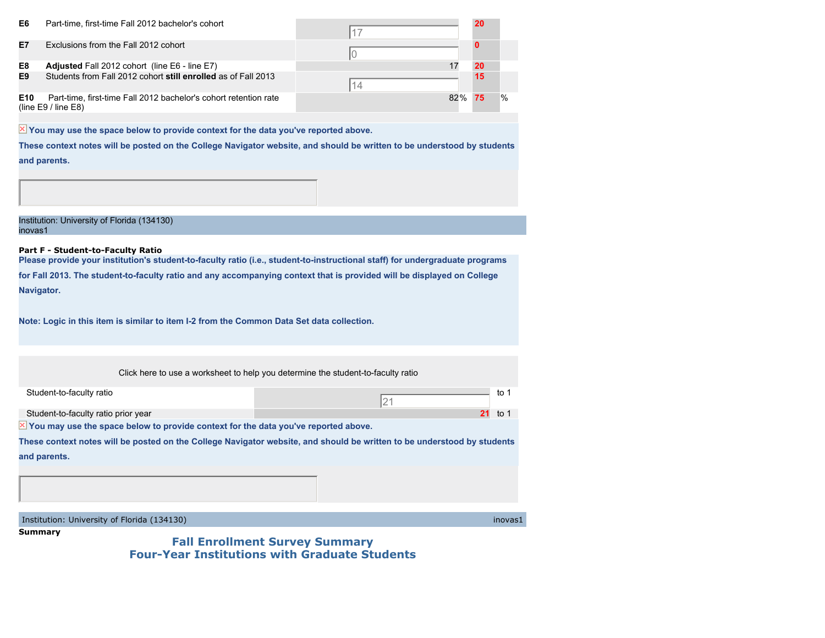| E6              | Part-time, first-time Fall 2012 bachelor's cohort                                           |     | 20 |               |
|-----------------|---------------------------------------------------------------------------------------------|-----|----|---------------|
| E7              | Exclusions from the Fall 2012 cohort                                                        |     |    |               |
| E8              | <b>Adjusted Fall 2012 cohort (line E6 - line E7)</b>                                        |     | 20 |               |
| E9              | Students from Fall 2012 cohort still enrolled as of Fall 2013                               |     | 15 |               |
| E <sub>10</sub> | Part-time, first-time Fall 2012 bachelor's cohort retention rate<br>(line $E9/$ line $E8$ ) | 82% | 75 | $\frac{0}{0}$ |

 $\overline{\mathbb{X}}$  You may use the space below to provide context for the data you've reported above.

**These context notes will be posted on the College Navigator website, and should be written to be understood by students and parents.**

Institution: University of Florida (134130) inovas1

#### **Part F - Student-to-Faculty Ratio**

**Please provide your institution's student-to-faculty ratio (i.e., student-to-instructional staff) for undergraduate programs for Fall 2013. The student-to-faculty ratio and any accompanying context that is provided will be displayed on College Navigator.**

**Note: Logic in this item is similar to item I-2 from the Common Data Set data collection.**

 $\overline{\mathbb{X}}$  You may use the space below to provide context for the data you've reported above. Click here to use a worksheet to help you determine the student-to-faculty ratio Student-to-faculty ratio to 1 Student-to-faculty ratio prior year **21** to 1 **These context notes will be posted on the College Navigator website, and should be written to be understood by students and parents.** 21

Institution: University of Florida (134130) inovas1

**Summary**

**Fall Enrollment Survey Summary Four-Year Institutions with Graduate Students**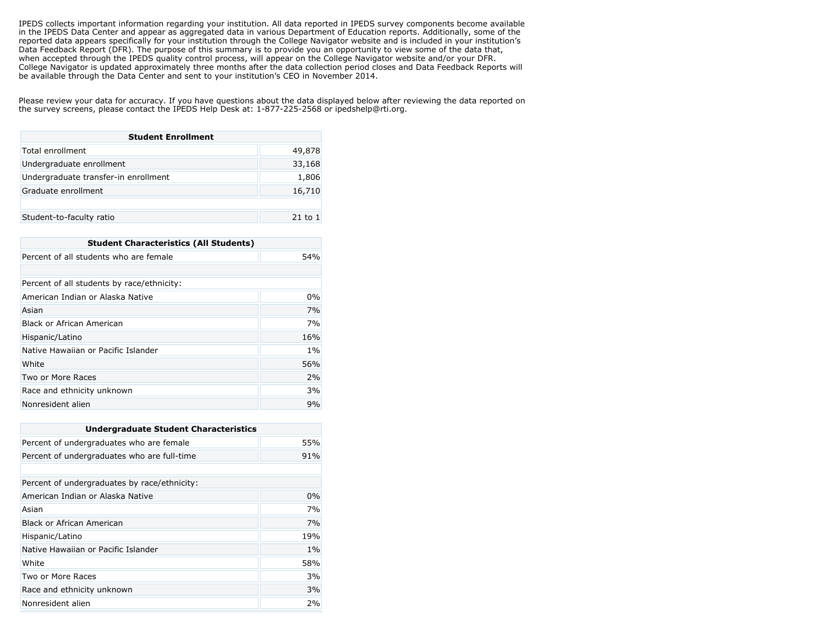IPEDS collects important information regarding your institution. All data reported in IPEDS survey components become available in the IPEDS Data Center and appear as aggregated data in various Department of Education reports. Additionally, some of the reported data appears specifically for your institution through the College Navigator website and is included in your institution's Data Feedback Report (DFR). The purpose of this summary is to provide you an opportunity to view some of the data that, when accepted through the IPEDS quality control process, will appear on the College Navigator website and/or your DFR. College Navigator is updated approximately three months after the data collection period closes and Data Feedback Reports will be available through the Data Center and sent to your institution's CEO in November 2014.

Please review your data for accuracy. If you have questions about the data displayed below after reviewing the data reported on the survey screens, please contact the IPEDS Help Desk at: 1-877-225-2568 or ipedshelp@rti.org.

| <b>Student Enrollment</b>            |        |
|--------------------------------------|--------|
| Total enrollment                     | 49,878 |
| Undergraduate enrollment             | 33,168 |
| Undergraduate transfer-in enrollment | 1,806  |
| Graduate enrollment                  | 16,710 |
|                                      |        |
| Student-to-faculty ratio             |        |

| <b>Student Characteristics (All Students)</b> |       |
|-----------------------------------------------|-------|
| Percent of all students who are female        | 54%   |
|                                               |       |
| Percent of all students by race/ethnicity:    |       |
| American Indian or Alaska Native              | 0%    |
| Asian                                         | 7%    |
| Black or African American                     | 7%    |
| Hispanic/Latino                               | 16%   |
| Native Hawaiian or Pacific Islander           | $1\%$ |
| White                                         | 56%   |
| Two or More Races                             | 2%    |
| Race and ethnicity unknown                    | 3%    |
| Nonresident alien                             | 9%    |

| <b>Undergraduate Student Characteristics</b> |       |
|----------------------------------------------|-------|
| Percent of undergraduates who are female     | 55%   |
| Percent of undergraduates who are full-time  | 91%   |
|                                              |       |
| Percent of undergraduates by race/ethnicity: |       |
| American Indian or Alaska Native             | 0%    |
| Asian                                        | 7%    |
| Black or African American                    | 7%    |
| Hispanic/Latino                              | 19%   |
| Native Hawaiian or Pacific Islander          | $1\%$ |
| White                                        | 58%   |
| Two or More Races                            | 3%    |
| Race and ethnicity unknown                   | 3%    |
| Nonresident alien                            | 2%    |